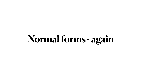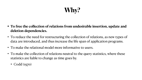**Why?**

### **• To free the collection of relations from undesirable insertion, update and**



- **deletion dependencies.**
- To reduce the need for restructuring the collection of relations, as new types of data are introduced, and thus increase the life span of application programs.
- To make the relational model more informative to users.
- To make the collection of relations neutral to the query statistics, where these statistics are liable to change as time goes by.
	- Codd (1970)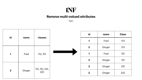

# **Remove multi-valued attributes**

| id          | name   | classes               |
|-------------|--------|-----------------------|
| 1           | Fred   | 113, 151              |
| $\mathbf 2$ | Ginger | 113, 151, 231,<br>223 |

| id           | name   | <b>Class</b> |
|--------------|--------|--------------|
| 1            | Fred   | 113          |
| $\mathbf{2}$ | Ginger | 113          |
| 1            | Fred   | 151          |
| $\mathbf 2$  | Ginger | 151          |
| $\mathbf 2$  | Ginger | 231          |
| 2            | Ginger | 223          |

Why?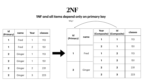

#### **1NF and all items depend only on primary key**

| id<br>(Primary)  | name   | Year           | classes |
|------------------|--------|----------------|---------|
|                  | Fred   |                | 113     |
| 1                | Fred   | $\overline{2}$ | 151     |
| $\boldsymbol{2}$ | Ginger |                | 113     |
| $\mathbf 2$      | Ginger |                | 151     |
| $\mathbf 2$      | Ginger | $\overline{2}$ | 231     |
| $\mathbf 2$      | Ginger | З              | 223     |

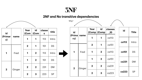

#### **2NF and No transitive dependencies**

| id<br>(Primar<br>y) | name           | Year<br> Com            | id<br>(Com       | classe<br>S | title     |  |
|---------------------|----------------|-------------------------|------------------|-------------|-----------|--|
|                     |                | 1                       | 1                | 113         | Intro     |  |
| 1<br>$\mathbf{2}$   | Fred<br>Ginger | $\boldsymbol{2}$        | 1                | 151         | <b>DS</b> |  |
|                     |                | 1                       | $\mathbf 2$      | 113         | Intro     |  |
|                     |                | 1                       | $\boldsymbol{2}$ | 151         | <b>DS</b> |  |
|                     |                | $\overline{\mathbf{2}}$ | $\boldsymbol{2}$ | 231         | <b>DM</b> |  |
|                     |                | $\overline{\mathbf{2}}$ | 3                | 223         | <b>SP</b> |  |

|  | Why?                    |                |              |                         |                           |              |                         |
|--|-------------------------|----------------|--------------|-------------------------|---------------------------|--------------|-------------------------|
|  | id                      |                | Year         | id<br>(Comp   (Comp     | classes<br>$\blacksquare$ | id           | Ti                      |
|  | (Prima<br>ry)           | name           |              | 1                       | cs113                     |              |                         |
|  | 1                       | Fred<br>Ginger | $\mathbf{2}$ | 1                       | cs151                     | <b>cs113</b> | $\ln$                   |
|  |                         |                |              | $\mathbf{2}$            | cs113                     | cs151        |                         |
|  |                         |                |              | $\mathbf{2}$            | cs151                     | cs231        |                         |
|  | $\overline{\mathbf{2}}$ |                | $\mathbf{2}$ | $\overline{\mathbf{2}}$ | cs231                     |              |                         |
|  |                         |                | $\mathbf 2$  | 3                       | cs223                     | cs223        | $\overline{\mathbf{C}}$ |

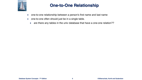

## **One-to-One Relationship**

- one-to-one relationship between a person's first name and last name
- one-to-one often should just be in a single table.
	- are there any tables in the univ database that have a one-one relation??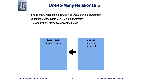**Database System Concepts - 7th Edition 7 ©Silberschatz, Korth and Sudarshan**



# **One-to-Many Relationship**

- one-to-many relationship between an *course and a department*
- A course is associated with a single department
	- *a department may have several courses.*



Course\_id Department\_id

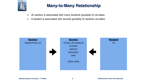**Database System Concepts - 7th Edition 8 ©Silberschatz, Korth and Sudarshan**



# **Many-to-Many Relationship**

- An section is associated with many students (possibly 0) via takes
- A student is associated with several (possibly 0) sections via takes